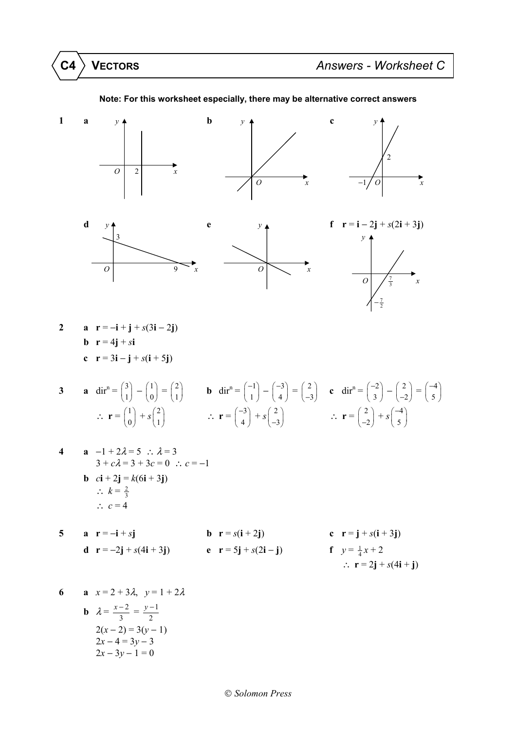

## **Note: For this worksheet especially, there may be alternative correct answers**

3 **a** 
$$
dir^n = \begin{pmatrix} 3 \\ 1 \end{pmatrix} - \begin{pmatrix} 1 \\ 0 \end{pmatrix} = \begin{pmatrix} 2 \\ 1 \end{pmatrix}
$$
 **b**  $dir^n = \begin{pmatrix} -1 \\ 1 \end{pmatrix} - \begin{pmatrix} -3 \\ 4 \end{pmatrix} = \begin{pmatrix} 2 \\ -3 \end{pmatrix}$  **c**  $dir^n = \begin{pmatrix} -2 \\ 3 \end{pmatrix} - \begin{pmatrix} 2 \\ -2 \end{pmatrix} = \begin{pmatrix} -4 \\ 5 \end{pmatrix}$   
\n $\therefore$   $\mathbf{r} = \begin{pmatrix} 1 \\ 0 \end{pmatrix} + s \begin{pmatrix} 2 \\ 1 \end{pmatrix}$   $\therefore$   $\mathbf{r} = \begin{pmatrix} -3 \\ 4 \end{pmatrix} + s \begin{pmatrix} 2 \\ -3 \end{pmatrix}$   $\therefore$   $\mathbf{r} = \begin{pmatrix} 2 \\ -2 \end{pmatrix} + s \begin{pmatrix} -4 \\ 5 \end{pmatrix}$ 

6 **a** 
$$
x = 2 + 3\lambda
$$
,  $y = 1 + 2\lambda$   
\n**b**  $\lambda = \frac{x-2}{3} = \frac{y-1}{2}$   
\n $2(x-2) = 3(y-1)$   
\n $2x - 4 = 3y - 3$   
\n $2x - 3y - 1 = 0$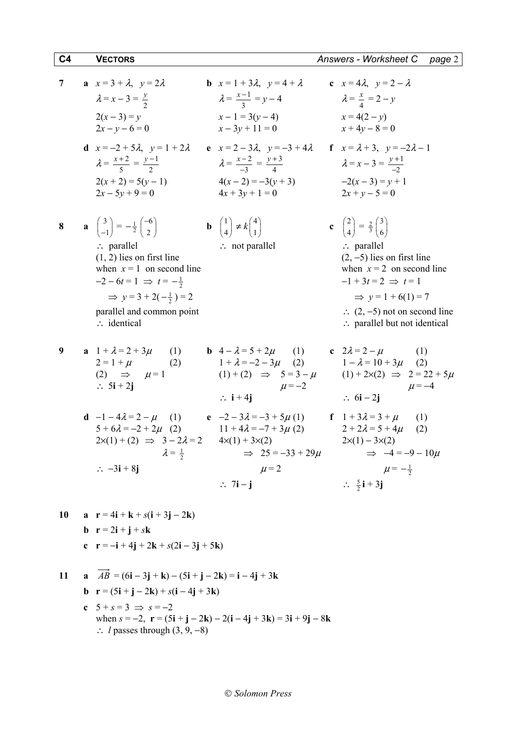| 7 | a $x=3+\lambda$ , $y=2\lambda$<br>$\lambda = x - 3 = \frac{y}{2}$<br>$2(x-3) = y$<br>$2x - y - 6 = 0$<br><b>d</b> $x = -2 + 5\lambda$ , $y = 1 + 2\lambda$<br>$\lambda = \frac{x+2}{5} = \frac{y-1}{2}$<br>$2(x + 2) = 5(y - 1)$<br>$2x - 5y + 9 = 0$                                                                                          | <b>b</b> $x=1+3\lambda$ , $y=4+\lambda$<br>$\lambda = \frac{x-1}{2} = y - 4$<br>$x-1=3(y-4)$<br>$x-3y+11=0$<br>e $x = 2 - 3\lambda$ , $y = -3 + 4\lambda$<br>$\lambda = \frac{x-2}{2} = \frac{y+3}{4}$<br>$4(x-2) = -3(y + 3)$<br>$4x + 3y + 1 = 0$ | c $x = 4\lambda$ , $y = 2 - \lambda$<br>$\lambda = \frac{x}{4} = 2 - y$<br>$x = 4(2 - y)$<br>$x + 4y - 8 = 0$<br><b>f</b> $x = \lambda + 3$ , $y = -2\lambda - 1$<br>$\lambda = x - 3 = \frac{y+1}{2}$<br>$-2(x-3) = y + 1$<br>$2x + y - 5 = 0$                                                                                       |
|---|------------------------------------------------------------------------------------------------------------------------------------------------------------------------------------------------------------------------------------------------------------------------------------------------------------------------------------------------|-----------------------------------------------------------------------------------------------------------------------------------------------------------------------------------------------------------------------------------------------------|---------------------------------------------------------------------------------------------------------------------------------------------------------------------------------------------------------------------------------------------------------------------------------------------------------------------------------------|
| 8 | $\mathbf{a} \begin{pmatrix} 3 \\ -1 \end{pmatrix} = -\frac{1}{2} \begin{pmatrix} -6 \\ 2 \end{pmatrix}$<br>$\therefore$ parallel<br>$(1, 2)$ lies on first line<br>when $x = 1$ on second line<br>$-2-6t=1 \Rightarrow t=-\frac{1}{2}$<br>$\Rightarrow$ y = 3 + 2( $-\frac{1}{2}$ ) = 2<br>parallel and common point<br>$\therefore$ identical | <b>b</b> $\begin{pmatrix} 1 \\ 4 \end{pmatrix} \neq k \begin{pmatrix} 4 \\ 1 \end{pmatrix}$<br>$\therefore$ not parallel                                                                                                                            | c $\begin{pmatrix} 2 \\ 4 \end{pmatrix} = \frac{2}{3} \begin{pmatrix} 3 \\ 6 \end{pmatrix}$<br>$\therefore$ parallel<br>$(2, -5)$ lies on first line<br>when $x = 2$ on second line<br>$-1+3t=2 \implies t=1$<br>$\Rightarrow$ y = 1 + 6(1) = 7<br>$\therefore$ (2, -5) not on second line<br>$\therefore$ parallel but not identical |
| 9 | <b>a</b> $1 + \lambda = 2 + 3\mu$<br>(1)<br>$2 = 1 + \mu$<br>(2)<br>(2) $\Rightarrow$ $\mu=1$<br>$\therefore$ 5i + 2j                                                                                                                                                                                                                          | <b>b</b> $4 - \lambda = 5 + 2\mu$ (1) <b>c</b> $2\lambda = 2 - \mu$<br>$1 + \lambda = -2 - 3\mu$ (2)<br>$\mu = -2$<br>$\therefore$ i + 4j                                                                                                           | (1)<br>$1 - \lambda = 10 + 3\mu$ (2)<br>$(1) + (2) \Rightarrow 5 = 3 - \mu$ $(1) + 2 \times (2) \Rightarrow 2 = 22 + 5\mu$<br>$\mu = -4$<br>$\therefore$ 6i – 2i                                                                                                                                                                      |
|   | <b>d</b> $-1 - 4\lambda = 2 - \mu$ (1) <b>e</b> $-2 - 3\lambda = -3 + 5\mu(1)$<br>$5 + 6\lambda = -2 + 2\mu$ (2) $11 + 4\lambda = -7 + 3\mu$ (2)<br>$2x(1) + (2) \Rightarrow 3 - 2\lambda = 2$ $4x(1) + 3x(2)$<br>$\lambda = \frac{1}{2}$<br>$\therefore -3i + 8j$                                                                             | $\implies$ 25 = -33 + 29 $\mu$<br>$\mu$ = 2<br>$\therefore$ 7i – j                                                                                                                                                                                  | f $1 + 3\lambda = 3 + \mu$<br>(1)<br>$2 + 2\lambda = 5 + 4\mu$<br>(2)<br>$2\times(1) - 3\times(2)$<br>$\Rightarrow$ $-4 = -9 - 10\mu$<br>$\mu = -\frac{1}{2}$<br>$\therefore \frac{5}{2}i + 3j$                                                                                                                                       |

10 **a** 
$$
\mathbf{r} = 4\mathbf{i} + \mathbf{k} + s(\mathbf{i} + 3\mathbf{j} - 2\mathbf{k})
$$
  
\n**b**  $\mathbf{r} = 2\mathbf{i} + \mathbf{j} + s\mathbf{k}$   
\n**c**  $\mathbf{r} = -\mathbf{i} + 4\mathbf{j} + 2\mathbf{k} + s(2\mathbf{i} - 3\mathbf{j} + 5\mathbf{k})$ 

11 **a** 
$$
AB = (6\mathbf{i} - 3\mathbf{j} + \mathbf{k}) - (5\mathbf{i} + \mathbf{j} - 2\mathbf{k}) = \mathbf{i} - 4\mathbf{j} + 3\mathbf{k}
$$
  
\n**b**  $\mathbf{r} = (5\mathbf{i} + \mathbf{j} - 2\mathbf{k}) + s(\mathbf{i} - 4\mathbf{j} + 3\mathbf{k})$   
\n**c**  $5 + s = 3 \implies s = -2$   
\nwhen  $s = -2$ ,  $\mathbf{r} = (5\mathbf{i} + \mathbf{j} - 2\mathbf{k}) - 2(\mathbf{i} - 4\mathbf{j} + 3\mathbf{k}) = 3\mathbf{i} + 9\mathbf{j} - 8\mathbf{k}$   
\n∴ *l* passes through (3, 9, -8)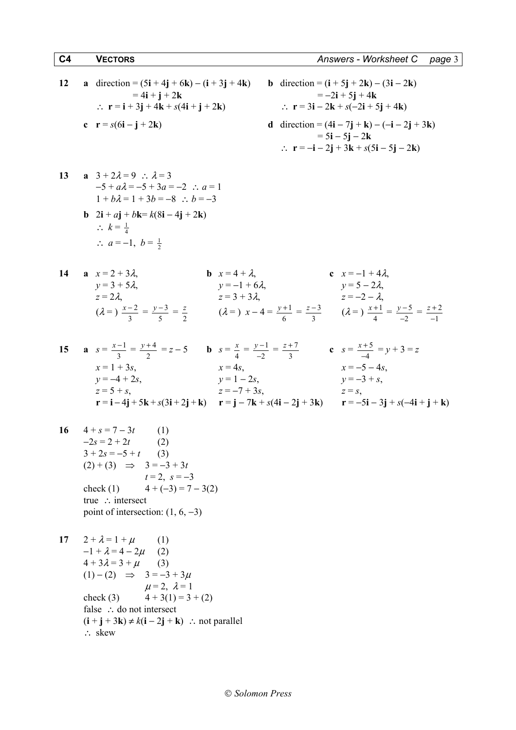12 **a** direction = 
$$
(5\mathbf{i} + 4\mathbf{j} + 6\mathbf{k}) - (\mathbf{i} + 3\mathbf{j} + 4\mathbf{k})
$$
 **b** direction =  $(\mathbf{i} + 5\mathbf{j} + 2\mathbf{k}) - (3\mathbf{i} - 2\mathbf{k})$   
\n=  $4\mathbf{i} + \mathbf{j} + 2\mathbf{k}$   
\n $\therefore \mathbf{r} = \mathbf{i} + 3\mathbf{j} + 4\mathbf{k} + s(4\mathbf{i} + \mathbf{j} + 2\mathbf{k})$   
\n**c**  $\mathbf{r} = s(6\mathbf{i} - \mathbf{i} + 2\mathbf{k})$   
\n**d** direction =  $(4\mathbf{i} - 7\mathbf{i} + \mathbf{k}) - (-\mathbf{i} - 2\mathbf{j})$ 

12 **a** direction = 
$$
(5\mathbf{i} + 4\mathbf{j} + 6\mathbf{k}) - (\mathbf{i} + 3\mathbf{j} + 4\mathbf{k})
$$
  
\t\t\t\t $= 4\mathbf{i} + \mathbf{j} + 2\mathbf{k}$   
\t\t\t\t $\therefore \mathbf{r} = \mathbf{i} + 3\mathbf{j} + 4\mathbf{k} + s(4\mathbf{i} + \mathbf{j} + 2\mathbf{k})$   
\t\t\t\t $\mathbf{c} \mathbf{r} = s(6\mathbf{i} - \mathbf{j} + 2\mathbf{k})$   
\t\t\t\t $\mathbf{r} = s(6\mathbf{i} - \mathbf{j} + 2\mathbf{k})$   
\t\t\t\t $\mathbf{r} = -3\mathbf{i} - 2\mathbf{j} + 5\mathbf{j} + 4\mathbf{k}$   
\t\t\t\t $\mathbf{r} = -3\mathbf{i} - 2\mathbf{k} + s(-2\mathbf{i} + 5\mathbf{j} + 4\mathbf{k})$   
\t\t\t\t $\mathbf{r} = -3\mathbf{i} - 2\mathbf{j} + 3\mathbf{k} - (-\mathbf{i} - 2\mathbf{j} + 3\mathbf{k})$   
\t\t\t\t $\mathbf{r} = -\mathbf{i} - 2\mathbf{j} + 3\mathbf{k} + s(5\mathbf{i} - 5\mathbf{j} - 2\mathbf{k})$ 

- **13 a**  $3 + 2\lambda = 9$  ∴  $\lambda = 3$  $-5 + a\lambda = -5 + 3a = -2$  ∴  $a = 1$  $1 + b\lambda = 1 + 3b = -8$  ∴  $b = -3$
- **b**  $2i + aj + bk = k(8i 4j + 2k)$  $\therefore k = \frac{1}{4}$ ∴  $a = -1, b = \frac{1}{2}$
- **14 a**  $x = 2 + 3\lambda$ , **b**  $x = 4 + \lambda$ , **c**  $x = -1 + 4\lambda$ ,  $y = 3 + 5\lambda$ ,  $y = -1 + 6\lambda$ ,  $y = 5 - 2\lambda$ ,  $z = 2\lambda$ ,  $z = 3 + 3\lambda$ ,  $z = -2 - \lambda$ ,  $(\lambda =) \frac{x-2}{3} = \frac{y-3}{5}$  $\frac{y-3}{5} = \frac{z}{2}$  ( $\lambda =$ )  $x - 4 = \frac{y+1}{6}$  $\frac{y+1}{z} = \frac{z-3}{z}$  $\frac{z-3}{3}$  ( $\lambda = \frac{x+1}{4}$  $\frac{x+1}{1} = \frac{y-5}{2}$ 2  $\frac{y-5}{-2} = \frac{z+2}{-1}$ 1 *z* + −
- **15 a**  $s = \frac{x-1}{2}$  $rac{x-1}{3} = \frac{y+4}{2}$ 2  $\frac{y+4}{2} = z - 5$  **b**  $s = \frac{x}{4} = \frac{y-1}{-2}$ 2  $\frac{y-1}{-2} = \frac{z+7}{3}$ 3  $\frac{z+7}{2}$  **c**  $s = \frac{x+5}{4}$ 4  $\frac{x+5}{-4} = y+3 = z$  $x = 1 + 3s$ ,  $x = 4s$ ,  $x = -5 - 4s$ ,  $y = -4 + 2s$ ,  $y = 1 - 2s$ ,  $y = -3 + s$ ,  $z = 5 + s$ ,  $z = -7 + 3s$ ,  $z = s$ ,  $r = i - 4j + 5k + s(3i + 2j + k)$   $r = j - 7k + s(4i - 2j + 3k)$   $r = -5i - 3j + s(-4i + j + k)$
- 16  $4 + s = 7 3t$  (1)  $-2s = 2 + 2t$  (2)  $3 + 2s = -5 + t$  (3)  $(2) + (3)$  ⇒ 3 = -3 + 3*t*  $t = 2$ ,  $s = -3$ check (1)  $4 + (-3) = 7 - 3(2)$  true ∴ intersect point of intersection:  $(1, 6, -3)$

17 
$$
2 + \lambda = 1 + \mu
$$
 (1)  
\n
$$
-1 + \lambda = 4 - 2\mu
$$
 (2)  
\n
$$
4 + 3\lambda = 3 + \mu
$$
 (3)  
\n
$$
(1) - (2) \implies 3 = -3 + 3\mu
$$
  
\n
$$
\mu = 2, \lambda = 1
$$
  
\ncheck (3) 
$$
4 + 3(1) = 3 + (2)
$$
  
\nfalse  $\therefore$  do not intersect  
\n
$$
(i + j + 3k) \neq k(i - 2j + k) \therefore
$$
 not parallel  
\n $\therefore$  skew